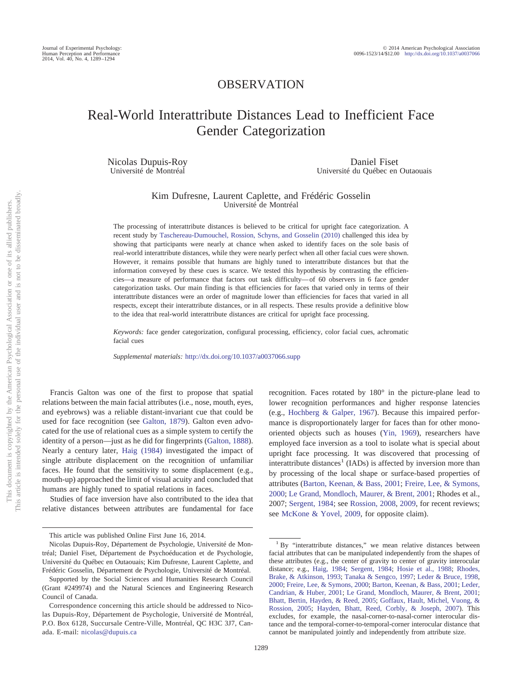# OBSERVATION

# Real-World Interattribute Distances Lead to Inefficient Face Gender Categorization

Nicolas Dupuis-Roy Université de Montréal

Daniel Fiset Université du Québec en Outaouais

Kim Dufresne, Laurent Caplette, and Frédéric Gosselin Université de Montréal

The processing of interattribute distances is believed to be critical for upright face categorization. A recent study by [Taschereau-Dumouchel, Rossion, Schyns, and Gosselin \(2010\)](#page-5-0) challenged this idea by showing that participants were nearly at chance when asked to identify faces on the sole basis of real-world interattribute distances, while they were nearly perfect when all other facial cues were shown. However, it remains possible that humans are highly tuned to interattribute distances but that the information conveyed by these cues is scarce. We tested this hypothesis by contrasting the efficiencies—a measure of performance that factors out task difficulty— of 60 observers in 6 face gender categorization tasks. Our main finding is that efficiencies for faces that varied only in terms of their interattribute distances were an order of magnitude lower than efficiencies for faces that varied in all respects, except their interattribute distances, or in all respects. These results provide a definitive blow to the idea that real-world interattribute distances are critical for upright face processing.

*Keywords:* face gender categorization, configural processing, efficiency, color facial cues, achromatic facial cues

*Supplemental materials:* http://dx.doi.org[/10.1037/a0037066.supp](http://dx.doi.org/10.1037/a0037066.supp)

Francis Galton was one of the first to propose that spatial relations between the main facial attributes (i.e., nose, mouth, eyes, and eyebrows) was a reliable distant-invariant cue that could be used for face recognition (see [Galton, 1879\)](#page-4-0). Galton even advocated for the use of relational cues as a simple system to certify the identity of a person—just as he did for fingerprints [\(Galton, 1888\)](#page-4-1). Nearly a century later, [Haig \(1984\)](#page-4-2) investigated the impact of single attribute displacement on the recognition of unfamiliar faces. He found that the sensitivity to some displacement (e.g., mouth-up) approached the limit of visual acuity and concluded that humans are highly tuned to spatial relations in faces.

Studies of face inversion have also contributed to the idea that relative distances between attributes are fundamental for face

recognition. Faces rotated by 180° in the picture-plane lead to lower recognition performances and higher response latencies (e.g., [Hochberg & Galper, 1967\)](#page-4-3). Because this impaired performance is disproportionately larger for faces than for other monooriented objects such as houses [\(Yin, 1969\)](#page-5-1), researchers have employed face inversion as a tool to isolate what is special about upright face processing. It was discovered that processing of interattribute distances<sup>1</sup> (IADs) is affected by inversion more than by processing of the local shape or surface-based properties of attributes [\(Barton, Keenan, & Bass, 2001;](#page-4-4) [Freire, Lee, & Symons,](#page-4-5) [2000;](#page-4-5) [Le Grand, Mondloch, Maurer, & Brent, 2001;](#page-4-6) Rhodes et al., 2007; [Sergent, 1984;](#page-5-2) see [Rossion, 2008,](#page-4-7) [2009,](#page-4-8) for recent reviews; see [McKone & Yovel, 2009,](#page-4-9) for opposite claim).

This article was published Online First June 16, 2014.

Nicolas Dupuis-Roy, Département de Psychologie, Université de Montréal; Daniel Fiset, Département de Psychoéducation et de Psychologie, Université du Québec en Outaouais; Kim Dufresne, Laurent Caplette, and Frédéric Gosselin, Département de Psychologie, Université de Montréal.

Supported by the Social Sciences and Humanities Research Council (Grant #249974) and the Natural Sciences and Engineering Research Council of Canada.

Correspondence concerning this article should be addressed to Nicolas Dupuis-Roy, Département de Psychologie, Université de Montréal, P.O. Box 6128, Succursale Centre-Ville, Montréal, QC H3C 3J7, Canada. E-mail: [nicolas@dupuis.ca](mailto:nicolas@dupuis.ca)

<sup>&</sup>lt;sup>1</sup> By "interattribute distances," we mean relative distances between facial attributes that can be manipulated independently from the shapes of these attributes (e.g., the center of gravity to center of gravity interocular distance; e.g., [Haig, 1984;](#page-4-2) [Sergent, 1984;](#page-5-2) [Hosie et al., 1988;](#page-4-10) [Rhodes,](#page-4-11) [Brake, & Atkinson, 1993;](#page-4-11) [Tanaka & Sengco, 1997;](#page-5-3) [Leder & Bruce, 1998,](#page-4-12) [2000;](#page-4-13) [Freire, Lee, & Symons, 2000;](#page-4-5) [Barton, Keenan, & Bass, 2001;](#page-4-4) [Leder,](#page-4-14) [Candrian, & Huber, 2001;](#page-4-14) [Le Grand, Mondloch, Maurer, & Brent, 2001;](#page-4-6) [Bhatt, Bertin, Hayden, & Reed, 2005;](#page-4-15) [Goffaux, Hault, Michel, Vuong, &](#page-4-16) [Rossion, 2005;](#page-4-16) [Hayden, Bhatt, Reed, Corbly, & Joseph, 2007\)](#page-4-17). This excludes, for example, the nasal-corner-to-nasal-corner interocular distance and the temporal-corner-to-temporal-corner interocular distance that cannot be manipulated jointly and independently from attribute size.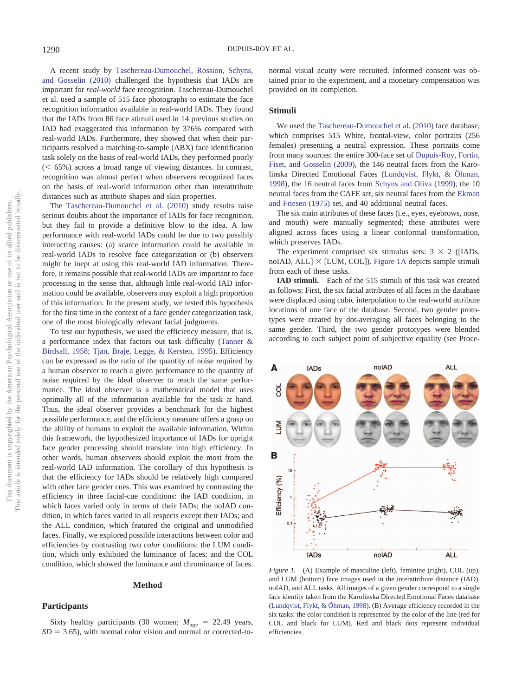A recent study by [Taschereau-Dumouchel, Rossion, Schyns,](#page-5-0) [and Gosselin \(2010\)](#page-5-0) challenged the hypothesis that IADs are important for *real-world* face recognition. Taschereau-Dumouchel et al. used a sample of 515 face photographs to estimate the face recognition information available in real-world IADs. They found that the IADs from 86 face stimuli used in 14 previous studies on IAD had exaggerated this information by 376% compared with real-world IADs. Furthermore, they showed that when their participants resolved a matching-to-sample (ABX) face identification task solely on the basis of real-world IADs, they performed poorly  $(< 65\%)$  across a broad range of viewing distances. In contrast, recognition was almost perfect when observers recognized faces on the basis of real-world information other than interattribute distances such as attribute shapes and skin properties.

The [Taschereau-Dumouchel et al. \(2010\)](#page-5-0) study results raise serious doubts about the importance of IADs for face recognition, but they fail to provide a definitive blow to the idea. A low performance with real-world IADs could be due to two possibly interacting causes: (a) scarce information could be available in real-world IADs to resolve face categorization or (b) observers might be inept at using this real-world IAD information. Therefore, it remains possible that real-world IADs are important to face processing in the sense that, although little real-world IAD information could be available, observers may exploit a high proportion of this information. In the present study, we tested this hypothesis for the first time in the context of a face gender categorization task, one of the most biologically relevant facial judgments.

To test our hypothesis, we used the efficiency measure, that is, a performance index that factors out task difficulty [\(Tanner &](#page-5-4) [Birdsall, 1958;](#page-5-4) [Tjan, Braje, Legge, & Kersten, 1995\)](#page-5-5). Efficiency can be expressed as the ratio of the quantity of noise required by a human observer to reach a given performance to the quantity of noise required by the ideal observer to reach the same performance. The ideal observer is a mathematical model that uses optimally all of the information available for the task at hand. Thus, the ideal observer provides a benchmark for the highest possible performance, and the efficiency measure offers a grasp on the ability of humans to exploit the available information. Within this framework, the hypothesized importance of IADs for upright face gender processing should translate into high efficiency. In other words, human observers should exploit the most from the real-world IAD information. The corollary of this hypothesis is that the efficiency for IADs should be relatively high compared with other face gender cues. This was examined by contrasting the efficiency in three facial-cue conditions: the IAD condition, in which faces varied only in terms of their IADs; the noIAD condition, in which faces varied in all respects except their IADs; and the ALL condition, which featured the original and unmodified faces. Finally, we explored possible interactions between color and efficiencies by contrasting two *color* conditions: the LUM condition, which only exhibited the luminance of faces; and the COL condition, which showed the luminance and chrominance of faces.

#### **Method**

### **Participants**

Sixty healthy participants (30 women;  $M_{\text{age}} = 22.49$  years,  $SD = 3.65$ , with normal color vision and normal or corrected-tonormal visual acuity were recruited. Informed consent was obtained prior to the experiment, and a monetary compensation was provided on its completion.

## **Stimuli**

We used the [Taschereau-Dumouchel et al. \(2010\)](#page-5-0) face database, which comprises 515 White, frontal-view, color portraits (256 females) presenting a neutral expression. These portraits come from many sources: the entire 300-face set of [Dupuis-Roy, Fortin,](#page-4-18) [Fiset, and Gosselin \(2009\),](#page-4-18) the 146 neutral faces from the Karolinska Directed Emotional Faces [\(Lundqvist, Flykt, & Öhman,](#page-4-19) [1998\)](#page-4-19), the 16 neutral faces from [Schyns and Oliva \(1999\),](#page-4-20) the 10 neutral faces from the CAFE set, six neutral faces from the [Ekman](#page-4-21) [and Friesen \(1975\)](#page-4-21) set, and 40 additional neutral faces.

The six main attributes of these faces (i.e., eyes, eyebrows, nose, and mouth) were manually segmented; these attributes were aligned across faces using a linear conformal transformation, which preserves IADs.

The experiment comprised six stimulus sets:  $3 \times 2$  ([IADs, noIAD, ALL]  $\times$  [LUM, COL]). [Figure 1A](#page-1-0) depicts sample stimuli from each of these tasks.

**IAD stimuli.** Each of the 515 stimuli of this task was created as follows: First, the six facial attributes of all faces in the database were displaced using cubic interpolation to the real-world attribute locations of one face of the database. Second, two gender prototypes were created by dot-averaging all faces belonging to the same gender. Third, the two gender prototypes were blended according to each subject point of subjective equality (see Proce-



<span id="page-1-0"></span>*Figure 1.* (A) Example of masculine (left), feminine (right), COL (up), and LUM (bottom) face images used in the interattribute distance (IAD), noIAD, and ALL tasks. All images of a given gender correspond to a single face identity taken from the Karolinska Directed Emotional Faces database [\(Lundqvist, Flykt, & Öhman, 1998\)](#page-4-19). (B) Average efficiency recorded in the six tasks: the color condition is represented by the color of the line (red for COL and black for LUM). Red and black dots represent individual efficiencies.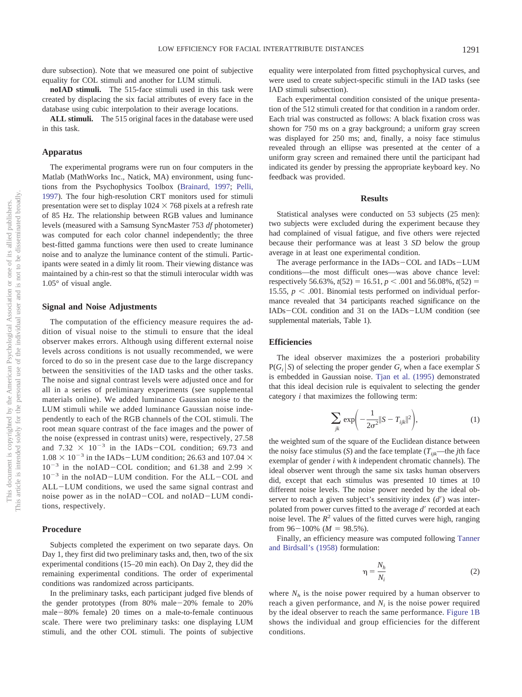dure subsection). Note that we measured one point of subjective equality for COL stimuli and another for LUM stimuli.

**noIAD stimuli.** The 515-face stimuli used in this task were created by displacing the six facial attributes of every face in the database using cubic interpolation to their average locations.

**ALL stimuli.** The 515 original faces in the database were used in this task.

#### **Apparatus**

The experimental programs were run on four computers in the Matlab (MathWorks Inc., Natick, MA) environment, using functions from the Psychophysics Toolbox [\(Brainard, 1997;](#page-4-22) [Pelli,](#page-4-23) [1997\)](#page-4-23). The four high-resolution CRT monitors used for stimuli presentation were set to display  $1024 \times 768$  pixels at a refresh rate of 85 Hz. The relationship between RGB values and luminance levels (measured with a Samsung SyncMaster 753 *df* photometer) was computed for each color channel independently; the three best-fitted gamma functions were then used to create luminance noise and to analyze the luminance content of the stimuli. Participants were seated in a dimly lit room. Their viewing distance was maintained by a chin-rest so that the stimuli interocular width was 1.05° of visual angle.

### **Signal and Noise Adjustments**

The computation of the efficiency measure requires the addition of visual noise to the stimuli to ensure that the ideal observer makes errors. Although using different external noise levels across conditions is not usually recommended, we were forced to do so in the present case due to the large discrepancy between the sensitivities of the IAD tasks and the other tasks. The noise and signal contrast levels were adjusted once and for all in a series of preliminary experiments (see supplemental materials online). We added luminance Gaussian noise to the LUM stimuli while we added luminance Gaussian noise independently to each of the RGB channels of the COL stimuli. The root mean square contrast of the face images and the power of the noise (expressed in contrast units) were, respectively, 27.58 and  $7.32 \times 10^{-3}$  in the IADs-COL condition; 69.73 and  $1.08 \times 10^{-3}$  in the IADs-LUM condition; 26.63 and 107.04  $\times$  $10^{-3}$  in the noIAD-COL condition; and 61.38 and 2.99  $\times$  $10^{-3}$  in the noIAD-LUM condition. For the ALL-COL and ALL-LUM conditions, we used the same signal contrast and noise power as in the noIAD-COL and noIAD-LUM conditions, respectively.

### **Procedure**

Subjects completed the experiment on two separate days. On Day 1, they first did two preliminary tasks and, then, two of the six experimental conditions (15–20 min each). On Day 2, they did the remaining experimental conditions. The order of experimental conditions was randomized across participants.

In the preliminary tasks, each participant judged five blends of the gender prototypes (from  $80\%$  male $-20\%$  female to  $20\%$  $male-80%$  female) 20 times on a male-to-female continuous scale. There were two preliminary tasks: one displaying LUM stimuli, and the other COL stimuli. The points of subjective

equality were interpolated from fitted psychophysical curves, and were used to create subject-specific stimuli in the IAD tasks (see IAD stimuli subsection).

Each experimental condition consisted of the unique presentation of the 512 stimuli created for that condition in a random order. Each trial was constructed as follows: A black fixation cross was shown for 750 ms on a gray background; a uniform gray screen was displayed for 250 ms; and, finally, a noisy face stimulus revealed through an ellipse was presented at the center of a uniform gray screen and remained there until the participant had indicated its gender by pressing the appropriate keyboard key. No feedback was provided.

#### **Results**

Statistical analyses were conducted on 53 subjects (25 men): two subjects were excluded during the experiment because they had complained of visual fatigue, and five others were rejected because their performance was at least 3 *SD* below the group average in at least one experimental condition.

The average performance in the  $IADs-COL$  and  $IADs-LUM$ conditions—the most difficult ones—was above chance level: respectively 56.63%,  $t(52) = 16.51$ ,  $p < .001$  and 56.08%,  $t(52) =$ 15.55,  $p < .001$ . Binomial tests performed on individual performance revealed that 34 participants reached significance on the  $IADs-COL$  condition and 31 on the  $IADs-LUM$  condition (see supplemental materials, Table 1).

## **Efficiencies**

The ideal observer maximizes the a posteriori probability  $P(G_i|S)$  of selecting the proper gender  $G_i$  when a face exemplar *S* is embedded in Gaussian noise. [Tjan et al. \(1995\)](#page-5-5) demonstrated that this ideal decision rule is equivalent to selecting the gender category *i* that maximizes the following term:

$$
\sum_{jk} \exp\biggl(-\frac{1}{2\sigma^2} ||S - T_{ijk}||^2\biggr),\tag{1}
$$

the weighted sum of the square of the Euclidean distance between the noisy face stimulus (*S*) and the face template ( $T_{ijk}$ —the *j*th face exemplar of gender *i* with *k* independent chromatic channels). The ideal observer went through the same six tasks human observers did, except that each stimulus was presented 10 times at 10 different noise levels. The noise power needed by the ideal observer to reach a given subject's sensitivity index  $(d')$  was interpolated from power curves fitted to the average  $d'$  recorded at each noise level. The  $R^2$  values of the fitted curves were high, ranging from  $96-100\%$  ( $M = 98.5\%$ ).

Finally, an efficiency measure was computed following [Tanner](#page-5-4) [and Birdsall's \(1958\)](#page-5-4) formulation:

$$
\eta = \frac{N_h}{N_i} \tag{2}
$$

where  $N_h$  is the noise power required by a human observer to reach a given performance, and *N<sub>i</sub>* is the noise power required by the ideal observer to reach the same performance. [Figure 1B](#page-1-0) shows the individual and group efficiencies for the different conditions.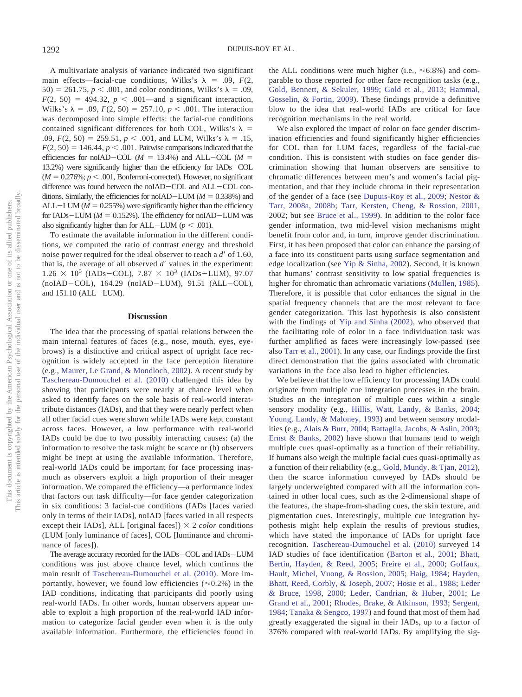A multivariate analysis of variance indicated two significant main effects—facial-cue conditions, Wilks's  $\lambda = .09$ ,  $F(2)$ ,  $50$ ) = 261.75,  $p < .001$ , and color conditions, Wilks's  $\lambda = .09$ ,  $F(2, 50) = 494.32$ ,  $p < .001$ —and a significant interaction, Wilks's  $\lambda = .09$ ,  $F(2, 50) = 257.10$ ,  $p < .001$ . The interaction was decomposed into simple effects: the facial-cue conditions contained significant differences for both COL, Wilks's  $\lambda$  = .09,  $F(2, 50) = 259.51$ ,  $p < .001$ , and LUM, Wilks's  $\lambda = .15$ ,  $F(2, 50) = 146.44$ ,  $p < .001$ . Pairwise comparisons indicated that the efficiencies for noIAD-COL ( $M = 13.4\%$ ) and ALL-COL ( $M =$  $13.2\%$ ) were significantly higher than the efficiency for  $IADs-COL$  $(M = 0.276\%; p < .001$ , Bonferroni-corrected). However, no significant difference was found between the  $noIAD-COL$  and  $ALL-COL$  conditions. Similarly, the efficiencies for noIAD-LUM ( $M = 0.338\%$ ) and  $ALL-LUM (M = 0.255%)$  were significantly higher than the efficiency for IADs $-LUM (M = 0.152%)$ . The efficiency for noIAD–LUM was also significantly higher than for  $ALL-LUM (p < .001)$ .

To estimate the available information in the different conditions, we computed the ratio of contrast energy and threshold noise power required for the ideal observer to reach a *d'* of 1.60, that is, the average of all observed  $d'$  values in the experiment:  $1.26 \times 10^5$  (IADs-COL),  $7.87 \times 10^3$  (IADs-LUM), 97.07 (noIAD-COL), 164.29 (noIAD-LUM), 91.51 (ALL-COL), and  $151.10$  (ALL $-LUM$ ).

#### **Discussion**

The idea that the processing of spatial relations between the main internal features of faces (e.g., nose, mouth, eyes, eyebrows) is a distinctive and critical aspect of upright face recognition is widely accepted in the face perception literature (e.g., [Maurer, Le Grand, & Mondloch, 2002\)](#page-4-24). A recent study by [Taschereau-Dumouchel et al. \(2010\)](#page-5-0) challenged this idea by showing that participants were nearly at chance level when asked to identify faces on the sole basis of real-world interattribute distances (IADs), and that they were nearly perfect when all other facial cues were shown while IADs were kept constant across faces. However, a low performance with real-world IADs could be due to two possibly interacting causes: (a) the information to resolve the task might be scarce or (b) observers might be inept at using the available information. Therefore, real-world IADs could be important for face processing inasmuch as observers exploit a high proportion of their meager information. We compared the efficiency—a performance index that factors out task difficulty—for face gender categorization in six conditions: 3 facial-cue conditions (IADs [faces varied only in terms of their IADs], noIAD [faces varied in all respects except their IADs], ALL [original faces])  $\times$  2 *color* conditions (LUM [only luminance of faces], COL [luminance and chrominance of faces]).

The average accuracy recorded for the IADs-COL and IADs-LUM conditions was just above chance level, which confirms the main result of [Taschereau-Dumouchel et al. \(2010\).](#page-5-0) More importantly, however, we found low efficiencies ( $\approx 0.2\%$ ) in the IAD conditions, indicating that participants did poorly using real-world IADs. In other words, human observers appear unable to exploit a high proportion of the real-world IAD information to categorize facial gender even when it is the only available information. Furthermore, the efficiencies found in the ALL conditions were much higher (i.e.,  $\approx 6.8\%$ ) and comparable to those reported for other face recognition tasks (e.g., [Gold, Bennett, & Sekuler, 1999;](#page-4-25) [Gold et al., 2013;](#page-4-26) [Hammal,](#page-4-27) [Gosselin, & Fortin, 2009\)](#page-4-27). These findings provide a definitive blow to the idea that real-world IADs are critical for face recognition mechanisms in the real world.

We also explored the impact of color on face gender discrimination efficiencies and found significantly higher efficiencies for COL than for LUM faces, regardless of the facial-cue condition. This is consistent with studies on face gender discrimination showing that human observers are sensitive to chromatic differences between men's and women's facial pigmentation, and that they include chroma in their representation of the gender of a face (see [Dupuis-Roy et al., 2009;](#page-4-18) [Nestor &](#page-4-28) [Tarr, 2008a,](#page-4-28) [2008b;](#page-4-29) [Tarr, Kersten, Cheng, & Rossion, 2001,](#page-5-6) 2002; but see [Bruce et al., 1999\)](#page-4-30). In addition to the color face gender information, two mid-level vision mechanisms might benefit from color and, in turn, improve gender discrimination. First, it has been proposed that color can enhance the parsing of a face into its constituent parts using surface segmentation and edge localization (see [Yip & Sinha, 2002\)](#page-5-7). Second, it is known that humans' contrast sensitivity to low spatial frequencies is higher for chromatic than achromatic variations [\(Mullen, 1985\)](#page-4-31). Therefore, it is possible that color enhances the signal in the spatial frequency channels that are the most relevant to face gender categorization. This last hypothesis is also consistent with the findings of [Yip and Sinha \(2002\),](#page-5-7) who observed that the facilitating role of color in a face individuation task was further amplified as faces were increasingly low-passed (see also [Tarr et al., 2001\)](#page-5-6). In any case, our findings provide the first direct demonstration that the gains associated with chromatic variations in the face also lead to higher efficiencies.

We believe that the low efficiency for processing IADs could originate from multiple cue integration processes in the brain. Studies on the integration of multiple cues within a single sensory modality (e.g., [Hillis, Watt, Landy, & Banks, 2004;](#page-4-32) [Young, Landy, & Maloney, 1993\)](#page-5-8) and between sensory modalities (e.g., [Alais & Burr, 2004;](#page-4-33) [Battaglia, Jacobs, & Aslin, 2003;](#page-4-34) [Ernst & Banks, 2002\)](#page-4-35) have shown that humans tend to weigh multiple cues quasi-optimally as a function of their reliability. If humans also weigh the multiple facial cues quasi-optimally as a function of their reliability (e.g., [Gold, Mundy, & Tjan, 2012\)](#page-4-36), then the scarce information conveyed by IADs should be largely underweighted compared with all the information contained in other local cues, such as the 2-dimensional shape of the features, the shape-from-shading cues, the skin texture, and pigmentation cues. Interestingly, multiple cue integration hypothesis might help explain the results of previous studies, which have stated the importance of IADs for upright face recognition. [Taschereau-Dumouchel et al. \(2010\)](#page-5-0) surveyed 14 IAD studies of face identification [\(Barton et al., 2001;](#page-4-4) [Bhatt,](#page-4-15) [Bertin, Hayden, & Reed, 2005;](#page-4-15) [Freire et al., 2000;](#page-4-5) [Goffaux,](#page-4-16) [Hault, Michel, Vuong, & Rossion, 2005;](#page-4-16) [Haig, 1984;](#page-4-2) [Hayden,](#page-4-17) [Bhatt, Reed, Corbly, & Joseph, 2007;](#page-4-17) [Hosie et al., 1988;](#page-4-10) [Leder](#page-4-12) [& Bruce, 1998,](#page-4-12) [2000;](#page-4-13) [Leder, Candrian, & Huber, 2001;](#page-4-14) [Le](#page-4-6) [Grand et al., 2001;](#page-4-6) [Rhodes, Brake, & Atkinson, 1993;](#page-4-11) [Sergent,](#page-5-2) [1984;](#page-5-2) [Tanaka & Sengco, 1997\)](#page-5-3) and found that most of them had greatly exaggerated the signal in their IADs, up to a factor of 376% compared with real-world IADs. By amplifying the sig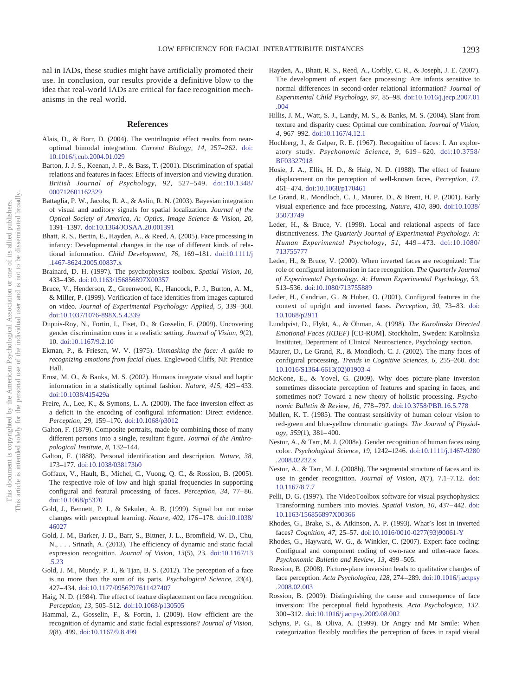nal in IADs, these studies might have artificially promoted their use. In conclusion, our results provide a definitive blow to the idea that real-world IADs are critical for face recognition mechanisms in the real world.

#### **References**

- <span id="page-4-33"></span>Alais, D., & Burr, D. (2004). The ventriloquist effect results from nearoptimal bimodal integration. *Current Biology, 14,* 257–262. [doi:](http://dx.doi.org/10.1016/j.cub.2004.01.029) [10.1016/j.cub.2004.01.029](http://dx.doi.org/10.1016/j.cub.2004.01.029)
- <span id="page-4-4"></span>Barton, J. J. S., Keenan, J. P., & Bass, T. (2001). Discrimination of spatial relations and features in faces: Effects of inversion and viewing duration. *British Journal of Psychology, 92,* 527–549. [doi:10.1348/](http://dx.doi.org/10.1348/000712601162329) [000712601162329](http://dx.doi.org/10.1348/000712601162329)
- <span id="page-4-34"></span>Battaglia, P. W., Jacobs, R. A., & Aslin, R. N. (2003). Bayesian integration of visual and auditory signals for spatial localization. *Journal of the Optical Society of America, A: Optics, Image Science & Vision, 20,* 1391–1397. [doi:10.1364/JOSAA.20.001391](http://dx.doi.org/10.1364/JOSAA.20.001391)
- <span id="page-4-15"></span>Bhatt, R. S., Bertin, E., Hayden, A., & Reed, A. (2005). Face processing in infancy: Developmental changes in the use of different kinds of relational information. *Child Development, 76,* 169 –181. [doi:10.1111/j](http://dx.doi.org/10.1111/j.1467-8624.2005.00837.x) [.1467-8624.2005.00837.x](http://dx.doi.org/10.1111/j.1467-8624.2005.00837.x)
- <span id="page-4-22"></span>Brainard, D. H. (1997). The psychophysics toolbox. *Spatial Vision, 10,* 433– 436. [doi:10.1163/156856897X00357](http://dx.doi.org/10.1163/156856897X00357)
- <span id="page-4-30"></span>Bruce, V., Henderson, Z., Greenwood, K., Hancock, P. J., Burton, A. M., & Miller, P. (1999). Verification of face identities from images captured on video. *Journal of Experimental Psychology: Applied, 5,* 339 –360. [doi:10.1037/1076-898X.5.4.339](http://dx.doi.org/10.1037/1076-898X.5.4.339)
- <span id="page-4-18"></span>Dupuis-Roy, N., Fortin, I., Fiset, D., & Gosselin, F. (2009). Uncovering gender discrimination cues in a realistic setting. *Journal of Vision, 9*(2), 10. [doi:10.1167/9.2.10](http://dx.doi.org/10.1167/9.2.10)
- <span id="page-4-21"></span>Ekman, P., & Friesen, W. V. (1975). *Unmasking the face: A guide to recognizing emotions from facial clues*. Englewood Cliffs, NJ: Prentice Hall.
- <span id="page-4-35"></span>Ernst, M. O., & Banks, M. S. (2002). Humans integrate visual and haptic information in a statistically optimal fashion. *Nature*, 415, 429-433. [doi:10.1038/415429a](http://dx.doi.org/10.1038/415429a)
- <span id="page-4-5"></span>Freire, A., Lee, K., & Symons, L. A. (2000). The face-inversion effect as a deficit in the encoding of configural information: Direct evidence. *Perception, 29,* 159 –170. [doi:10.1068/p3012](http://dx.doi.org/10.1068/p3012)
- <span id="page-4-0"></span>Galton, F. (1879). Composite portraits, made by combining those of many different persons into a single, resultant figure. *Journal of the Anthropological Institute, 8,* 132–144.
- <span id="page-4-1"></span>Galton, F. (1888). Personal identification and description. *Nature, 38,* 173–177. [doi:10.1038/038173b0](http://dx.doi.org/10.1038/038173b0)
- <span id="page-4-16"></span>Goffaux, V., Hault, B., Michel, C., Vuong, Q. C., & Rossion, B. (2005). The respective role of low and high spatial frequencies in supporting configural and featural processing of faces. *Perception, 34,* 77– 86. [doi:10.1068/p5370](http://dx.doi.org/10.1068/p5370)
- <span id="page-4-25"></span>Gold, J., Bennett, P. J., & Sekuler, A. B. (1999). Signal but not noise changes with perceptual learning. *Nature, 402,* 176 –178. [doi:10.1038/](http://dx.doi.org/10.1038/46027) [46027](http://dx.doi.org/10.1038/46027)
- <span id="page-4-26"></span>Gold, J. M., Barker, J. D., Barr, S., Bittner, J. L., Bromfield, W. D., Chu, N., . . . Srinath, A. (2013). The efficiency of dynamic and static facial expression recognition. *Journal of Vision, 13*(5), 23. [doi:10.1167/13](http://dx.doi.org/10.1167/13.5.23) [.5.23](http://dx.doi.org/10.1167/13.5.23)
- <span id="page-4-36"></span>Gold, J. M., Mundy, P. J., & Tjan, B. S. (2012). The perception of a face is no more than the sum of its parts. *Psychological Science, 23*(4), 427– 434. [doi:10.1177/0956797611427407](http://dx.doi.org/10.1177/0956797611427407)
- <span id="page-4-2"></span>Haig, N. D. (1984). The effect of feature displacement on face recognition. *Perception, 13,* 505–512. [doi:10.1068/p130505](http://dx.doi.org/10.1068/p130505)
- <span id="page-4-27"></span>Hammal, Z., Gosselin, F., & Fortin, I. (2009). How efficient are the recognition of dynamic and static facial expressions? *Journal of Vision, 9*(8), 499. [doi:10.1167/9.8.499](http://dx.doi.org/10.1167/9.8.499)
- <span id="page-4-17"></span>Hayden, A., Bhatt, R. S., Reed, A., Corbly, C. R., & Joseph, J. E. (2007). The development of expert face processing: Are infants sensitive to normal differences in second-order relational information? *Journal of Experimental Child Psychology, 97,* 85–98. [doi:10.1016/j.jecp.2007.01](http://dx.doi.org/10.1016/j.jecp.2007.01.004) [.004](http://dx.doi.org/10.1016/j.jecp.2007.01.004)
- <span id="page-4-32"></span>Hillis, J. M., Watt, S. J., Landy, M. S., & Banks, M. S. (2004). Slant from texture and disparity cues: Optimal cue combination. *Journal of Vision, 4,* 967–992. [doi:10.1167/4.12.1](http://dx.doi.org/10.1167/4.12.1)
- <span id="page-4-3"></span>Hochberg, J., & Galper, R. E. (1967). Recognition of faces: I. An exploratory study. *Psychonomic Science, 9,* 619 – 620. [doi:10.3758/](http://dx.doi.org/10.3758/BF03327918) [BF03327918](http://dx.doi.org/10.3758/BF03327918)
- <span id="page-4-10"></span>Hosie, J. A., Ellis, H. D., & Haig, N. D. (1988). The effect of feature displacement on the perception of well-known faces, *Perception, 17,* 461– 474. [doi:10.1068/p170461](http://dx.doi.org/10.1068/p170461)
- <span id="page-4-6"></span>Le Grand, R., Mondloch, C. J., Maurer, D., & Brent, H. P. (2001). Early visual experience and face processing. *Nature, 410,* 890. [doi:10.1038/](http://dx.doi.org/10.1038/35073749) [35073749](http://dx.doi.org/10.1038/35073749)
- <span id="page-4-12"></span>Leder, H., & Bruce, V. (1998). Local and relational aspects of face distinctiveness. *The Quarterly Journal of Experimental Psychology. A: Human Experimental Psychology, 51,* 449 – 473. [doi:10.1080/](http://dx.doi.org/10.1080/713755777) [713755777](http://dx.doi.org/10.1080/713755777)
- <span id="page-4-13"></span>Leder, H., & Bruce, V. (2000). When inverted faces are recognized: The role of configural information in face recognition. *The Quarterly Journal of Experimental Psychology. A: Human Experimental Psychology, 53,* 513–536. [doi:10.1080/713755889](http://dx.doi.org/10.1080/713755889)
- <span id="page-4-14"></span>Leder, H., Candrian, G., & Huber, O. (2001). Configural features in the context of upright and inverted faces. *Perception, 30,* 73– 83. [doi:](http://dx.doi.org/10.1068/p2911) [10.1068/p2911](http://dx.doi.org/10.1068/p2911)
- <span id="page-4-19"></span>Lundqvist, D., Flykt, A., & Öhman, A. (1998). *The Karolinska Directed Emotional Faces (KDEF)* [CD-ROM]. Stockholm, Sweden: Karolinska Institutet, Department of Clinical Neuroscience, Psychology section.
- <span id="page-4-24"></span>Maurer, D., Le Grand, R., & Mondloch, C. J. (2002). The many faces of configural processing. *Trends in Cognitive Sciences, 6,* 255–260. [doi:](http://dx.doi.org/10.1016/S1364-6613%2802%2901903-4) [10.1016/S1364-6613\(02\)01903-4](http://dx.doi.org/10.1016/S1364-6613%2802%2901903-4)
- <span id="page-4-9"></span>McKone, E., & Yovel, G. (2009). Why does picture-plane inversion sometimes dissociate perception of features and spacing in faces, and sometimes not? Toward a new theory of holistic processing. *Psychonomic Bulletin & Review, 16,* 778 –797. [doi:10.3758/PBR.16.5.778](http://dx.doi.org/10.3758/PBR.16.5.778)
- <span id="page-4-31"></span>Mullen, K. T. (1985). The contrast sensitivity of human colour vision to red-green and blue-yellow chromatic gratings. *The Journal of Physiology, 359*(1), 381– 400.
- <span id="page-4-28"></span>Nestor, A., & Tarr, M. J. (2008a). Gender recognition of human faces using color. *Psychological Science, 19,* 1242–1246. [doi:10.1111/j.1467-9280](http://dx.doi.org/10.1111/j.1467-9280.2008.02232.x) [.2008.02232.x](http://dx.doi.org/10.1111/j.1467-9280.2008.02232.x)
- <span id="page-4-29"></span>Nestor, A., & Tarr, M. J. (2008b). The segmental structure of faces and its use in gender recognition. *Journal of Vision, 8*(7), 7.1–7.12. [doi:](http://dx.doi.org/10.1167/8.7.7) [10.1167/8.7.7](http://dx.doi.org/10.1167/8.7.7)
- <span id="page-4-23"></span>Pelli, D. G. (1997). The VideoToolbox software for visual psychophysics: Transforming numbers into movies. *Spatial Vision, 10, 437-442*. [doi:](http://dx.doi.org/10.1163/156856897X00366) [10.1163/156856897X00366](http://dx.doi.org/10.1163/156856897X00366)
- <span id="page-4-11"></span>Rhodes, G., Brake, S., & Atkinson, A. P. (1993). What's lost in inverted faces? *Cognition, 47,* 25–57. [doi:10.1016/0010-0277\(93\)90061-Y](http://dx.doi.org/10.1016/0010-0277%2893%2990061-Y)
- Rhodes, G., Hayward, W. G., & Winkler, C. (2007). Expert face coding: Configural and component coding of own-race and other-race faces. *Psychonomic Bulletin and Review, 13,* 499 –505.
- <span id="page-4-7"></span>Rossion, B. (2008). Picture-plane inversion leads to qualitative changes of face perception. *Acta Psychologica, 128,* 274 –289. [doi:10.1016/j.actpsy](http://dx.doi.org/10.1016/j.actpsy.2008.02.003) [.2008.02.003](http://dx.doi.org/10.1016/j.actpsy.2008.02.003)
- <span id="page-4-8"></span>Rossion, B. (2009). Distinguishing the cause and consequence of face inversion: The perceptual field hypothesis. *Acta Psychologica, 132,* 300 –312. [doi:10.1016/j.actpsy.2009.08.002](http://dx.doi.org/10.1016/j.actpsy.2009.08.002)
- <span id="page-4-20"></span>Schyns, P. G., & Oliva, A. (1999). Dr Angry and Mr Smile: When categorization flexibly modifies the perception of faces in rapid visual